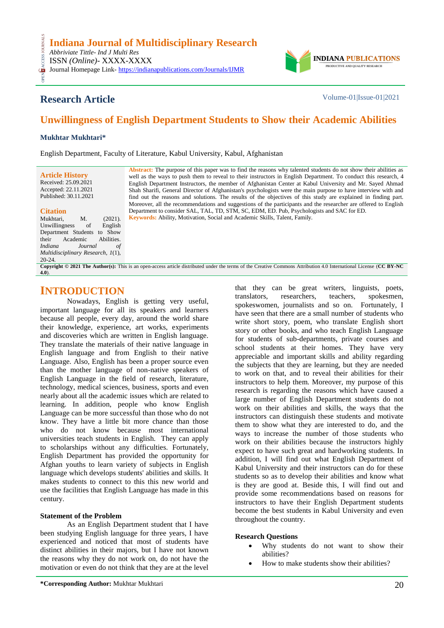

# **Research Article** Volume-01|Issue-01|2021

# **Unwillingness of English Department Students to Show their Academic Abilities**

#### **Mukhtar Mukhtari\***

English Department, Faculty of Literature, Kabul University, Kabul, Afghanistan

**Article History** Received: 25.09.2021 Accepted: 22.11.2021 Published: 30.11.2021

#### **Citation**

CESS.

Mukhtari, M. (2021). Unwillingness of English Department Students to Show<br>their Academic Abilities. Academic *Indiana Journal of Multidisciplinary Research, 1*(1), 20-24.

**Abstract:** The purpose of this paper was to find the reasons why talented students do not show their abilities as well as the ways to push them to reveal to their instructors in English Department. To conduct this research, 4 English Department Instructors, the member of Afghanistan Center at Kabul University and Mr. Sayed Ahmad Shah Sharifi, General Director of Afghanistan's psychologists were the main purpose to have interview with and find out the reasons and solutions. The results of the objectives of this study are explained in finding part. Moreover, all the recommendations and suggestions of the participants and the researcher are offered to English Department to consider SAL, TAL, TD, STM, SC, EDM, ED. Pub, Psychologists and SAC for ED*.* **Keywords:** Ability, Motivation, Social and Academic Skills, Talent, Family*.*

**Copyright © 2021 The Author(s):** This is an open-access article distributed under the terms of the Creative Commons Attribution 4.0 International License (**[CC BY-NC](https://creativecommons.org/licenses/by-nc/4.0/)  [4.0](https://creativecommons.org/licenses/by-nc/4.0/)**).

### **INTRODUCTION**

Nowadays, English is getting very useful, important language for all its speakers and learners because all people, every day, around the world share their knowledge, experience, art works, experiments and discoveries which are written in English language. They translate the materials of their native language in English language and from English to their native Language. Also, English has been a proper source even than the mother language of non-native speakers of English Language in the field of research, literature, technology, medical sciences, business, sports and even nearly about all the academic issues which are related to learning. In addition, people who know English Language can be more successful than those who do not know. They have a little bit more chance than those who do not know because most international universities teach students in English. They can apply to scholarships without any difficulties. Fortunately, English Department has provided the opportunity for Afghan youths to learn variety of subjects in English language which develops students' abilities and skills. It makes students to connect to this this new world and use the facilities that English Language has made in this century.

#### **Statement of the Problem**

As an English Department student that I have been studying English language for three years, I have experienced and noticed that most of students have distinct abilities in their majors, but I have not known the reasons why they do not work on, do not have the motivation or even do not think that they are at the level

translators, researchers, teachers, spokesmen, spokeswomen, journalists and so on. Fortunately, I have seen that there are a small number of students who write short story, poem, who translate English short story or other books, and who teach English Language for students of sub-departments, private courses and school students at their homes. They have very appreciable and important skills and ability regarding the subjects that they are learning, but they are needed to work on that, and to reveal their abilities for their instructors to help them. Moreover, my purpose of this research is regarding the reasons which have caused a large number of English Department students do not work on their abilities and skills, the ways that the instructors can distinguish these students and motivate them to show what they are interested to do, and the ways to increase the number of those students who work on their abilities because the instructors highly expect to have such great and hardworking students. In addition, I will find out what English Department of Kabul University and their instructors can do for these students so as to develop their abilities and know what is they are good at. Beside this, I will find out and provide some recommendations based on reasons for instructors to have their English Department students become the best students in Kabul University and even throughout the country.

that they can be great writers, linguists, poets,

#### **Research Questions**

- Why students do not want to show their abilities?
- How to make students show their abilities?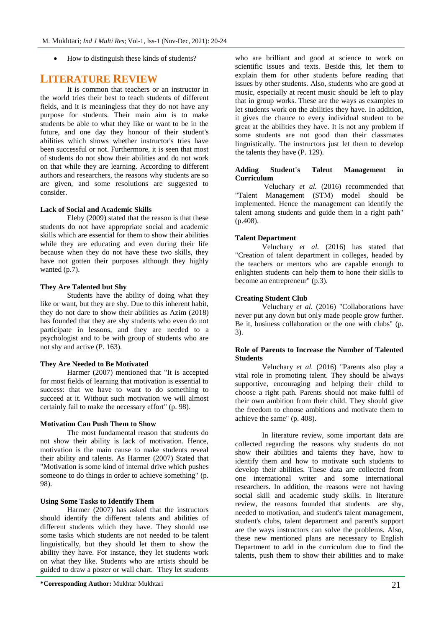How to distinguish these kinds of students?

### **LITERATURE REVIEW**

It is common that teachers or an instructor in the world tries their best to teach students of different fields, and it is meaningless that they do not have any purpose for students. Their main aim is to make students be able to what they like or want to be in the future, and one day they honour of their student's abilities which shows whether instructor's tries have been successful or not. Furthermore, it is seen that most of students do not show their abilities and do not work on that while they are learning. According to different authors and researchers, the reasons why students are so are given, and some resolutions are suggested to consider.

#### **Lack of Social and Academic Skills**

Eleby (2009) stated that the reason is that these students do not have appropriate social and academic skills which are essential for them to show their abilities while they are educating and even during their life because when they do not have these two skills, they have not gotten their purposes although they highly wanted (p.7).

#### **They Are Talented but Shy**

Students have the ability of doing what they like or want, but they are shy. Due to this inherent habit, they do not dare to show their abilities as Azim (2018) has founded that they are shy students who even do not participate in lessons, and they are needed to a psychologist and to be with group of students who are not shy and active (P. 163).

#### **They Are Needed to Be Motivated**

Harmer (2007) mentioned that "It is accepted for most fields of learning that motivation is essential to success: that we have to want to do something to succeed at it. Without such motivation we will almost certainly fail to make the necessary effort" (p. 98).

#### **Motivation Can Push Them to Show**

The most fundamental reason that students do not show their ability is lack of motivation. Hence, motivation is the main cause to make students reveal their ability and talents. As Harmer (2007) Stated that "Motivation is some kind of internal drive which pushes someone to do things in order to achieve something" (p. 98).

#### **Using Some Tasks to Identify Them**

Harmer (2007) has asked that the instructors should identify the different talents and abilities of different students which they have. They should use some tasks which students are not needed to be talent linguistically, but they should let them to show the ability they have. For instance, they let students work on what they like. Students who are artists should be guided to draw a poster or wall chart. They let students

who are brilliant and good at science to work on scientific issues and texts. Beside this, let them to explain them for other students before reading that issues by other students. Also, students who are good at music, especially at recent music should be left to play that in group works. These are the ways as examples to let students work on the abilities they have. In addition, it gives the chance to every individual student to be great at the abilities they have. It is not any problem if some students are not good than their classmates linguistically. The instructors just let them to develop the talents they have (P. 129).

#### **Adding Student's Talent Management in Curriculum**

Veluchary *et al.* (2016) recommended that "Talent Management (STM) model should be implemented. Hence the management can identify the talent among students and guide them in a right path" (p.408).

#### **Talent Department**

Veluchary *et al.* (2016) has stated that "Creation of talent department in colleges, headed by the teachers or mentors who are capable enough to enlighten students can help them to hone their skills to become an entrepreneur" (p.3).

#### **Creating Student Club**

Veluchary *et al.* (2016) "Collaborations have never put any down but only made people grow further. Be it, business collaboration or the one with clubs" (p. 3).

#### **Role of Parents to Increase the Number of Talented Students**

Veluchary *et al.* (2016) "Parents also play a vital role in promoting talent. They should be always supportive, encouraging and helping their child to choose a right path. Parents should not make fulfil of their own ambition from their child. They should give the freedom to choose ambitions and motivate them to achieve the same" (p. 408).

In literature review, some important data are collected regarding the reasons why students do not show their abilities and talents they have, how to identify them and how to motivate such students to develop their abilities. These data are collected from one international writer and some international researchers. In addition, the reasons were not having social skill and academic study skills. In literature review, the reasons founded that students are shy, needed to motivation, and student's talent management, student's clubs, talent department and parent's support are the ways instructors can solve the problems. Also, these new mentioned plans are necessary to English Department to add in the curriculum due to find the talents, push them to show their abilities and to make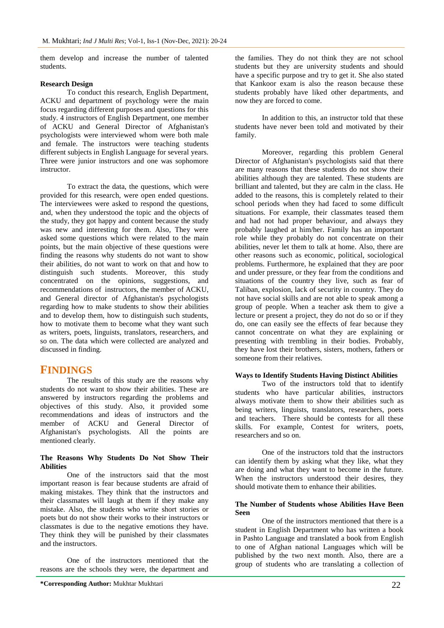them develop and increase the number of talented students.

#### **Research Design**

To conduct this research, English Department, ACKU and department of psychology were the main focus regarding different purposes and questions for this study. 4 instructors of English Department, one member of ACKU and General Director of Afghanistan's psychologists were interviewed whom were both male and female. The instructors were teaching students different subjects in English Language for several years. Three were junior instructors and one was sophomore instructor.

To extract the data, the questions, which were provided for this research, were open ended questions. The interviewees were asked to respond the questions, and, when they understood the topic and the objects of the study, they got happy and content because the study was new and interesting for them. Also, They were asked some questions which were related to the main points, but the main objective of these questions were finding the reasons why students do not want to show their abilities, do not want to work on that and how to distinguish such students. Moreover, this study concentrated on the opinions, suggestions, and recommendations of instructors, the member of ACKU, and General director of Afghanistan's psychologists regarding how to make students to show their abilities and to develop them, how to distinguish such students, how to motivate them to become what they want such as writers, poets, linguists, translators, researchers, and so on. The data which were collected are analyzed and discussed in finding.

## **FINDINGS**

The results of this study are the reasons why students do not want to show their abilities. These are answered by instructors regarding the problems and objectives of this study. Also, it provided some recommendations and ideas of instructors and the member of ACKU and General Director of Afghanistan's psychologists. All the points are mentioned clearly.

#### **The Reasons Why Students Do Not Show Their Abilities**

One of the instructors said that the most important reason is fear because students are afraid of making mistakes. They think that the instructors and their classmates will laugh at them if they make any mistake. Also, the students who write short stories or poets but do not show their works to their instructors or classmates is due to the negative emotions they have. They think they will be punished by their classmates and the instructors.

One of the instructors mentioned that the reasons are the schools they were, the department and

the families. They do not think they are not school students but they are university students and should have a specific purpose and try to get it. She also stated that Kankoor exam is also the reason because these students probably have liked other departments, and now they are forced to come.

In addition to this, an instructor told that these students have never been told and motivated by their family.

Moreover, regarding this problem General Director of Afghanistan's psychologists said that there are many reasons that these students do not show their abilities although they are talented. These students are brilliant and talented, but they are calm in the class. He added to the reasons, this is completely related to their school periods when they had faced to some difficult situations. For example, their classmates teased them and had not had proper behaviour, and always they probably laughed at him/her. Family has an important role while they probably do not concentrate on their abilities, never let them to talk at home. Also, there are other reasons such as economic, political, sociological problems. Furthermore, he explained that they are poor and under pressure, or they fear from the conditions and situations of the country they live, such as fear of Taliban, explosion, lack of security in country. They do not have social skills and are not able to speak among a group of people. When a teacher ask them to give a lecture or present a project, they do not do so or if they do, one can easily see the effects of fear because they cannot concentrate on what they are explaining or presenting with trembling in their bodies. Probably, they have lost their brothers, sisters, mothers, fathers or someone from their relatives.

#### **Ways to Identify Students Having Distinct Abilities**

Two of the instructors told that to identify students who have particular abilities, instructors always motivate them to show their abilities such as being writers, linguists, translators, researchers, poets and teachers. There should be contests for all these skills. For example, Contest for writers, poets, researchers and so on.

One of the instructors told that the instructors can identify them by asking what they like, what they are doing and what they want to become in the future. When the instructors understood their desires, they should motivate them to enhance their abilities.

#### **The Number of Students whose Abilities Have Been Seen**

One of the instructors mentioned that there is a student in English Department who has written a book in Pashto Language and translated a book from English to one of Afghan national Languages which will be published by the two next month. Also, there are a group of students who are translating a collection of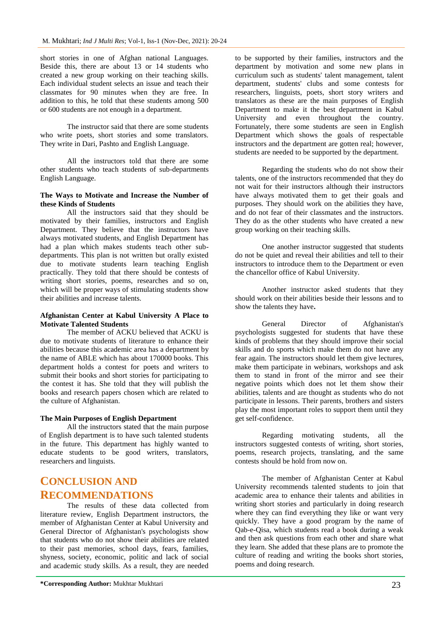short stories in one of Afghan national Languages. Beside this, there are about 13 or 14 students who created a new group working on their teaching skills. Each individual student selects an issue and teach their classmates for 90 minutes when they are free. In addition to this, he told that these students among 500 or 600 students are not enough in a department.

The instructor said that there are some students who write poets, short stories and some translators. They write in Dari, Pashto and English Language.

All the instructors told that there are some other students who teach students of sub-departments English Language.

#### **The Ways to Motivate and Increase the Number of these Kinds of Students**

All the instructors said that they should be motivated by their families, instructors and English Department. They believe that the instructors have always motivated students, and English Department has had a plan which makes students teach other subdepartments. This plan is not written but orally existed due to motivate students learn teaching English practically. They told that there should be contests of writing short stories, poems, researches and so on, which will be proper ways of stimulating students show their abilities and increase talents.

#### **Afghanistan Center at Kabul University A Place to Motivate Talented Students**

The member of ACKU believed that ACKU is due to motivate students of literature to enhance their abilities because this academic area has a department by the name of ABLE which has about 170000 books. This department holds a contest for poets and writers to submit their books and short stories for participating to the contest it has. She told that they will publish the books and research papers chosen which are related to the culture of Afghanistan.

#### **The Main Purposes of English Department**

All the instructors stated that the main purpose of English department is to have such talented students in the future. This department has highly wanted to educate students to be good writers, translators, researchers and linguists.

# **CONCLUSION AND RECOMMENDATIONS**

The results of these data collected from literature review, English Department instructors, the member of Afghanistan Center at Kabul University and General Director of Afghanistan's psychologists show that students who do not show their abilities are related to their past memories, school days, fears, families, shyness, society, economic, politic and lack of social and academic study skills. As a result, they are needed

to be supported by their families, instructors and the department by motivation and some new plans in curriculum such as students' talent management, talent department, students' clubs and some contests for researchers, linguists, poets, short story writers and translators as these are the main purposes of English Department to make it the best department in Kabul University and even throughout the country. Fortunately, there some students are seen in English Department which shows the goals of respectable instructors and the department are gotten real; however, students are needed to be supported by the department.

Regarding the students who do not show their talents, one of the instructors recommended that they do not wait for their instructors although their instructors have always motivated them to get their goals and purposes. They should work on the abilities they have, and do not fear of their classmates and the instructors. They do as the other students who have created a new group working on their teaching skills.

One another instructor suggested that students do not be quiet and reveal their abilities and tell to their instructors to introduce them to the Department or even the chancellor office of Kabul University.

Another instructor asked students that they should work on their abilities beside their lessons and to show the talents they have**.** 

General Director of Afghanistan's psychologists suggested for students that have these kinds of problems that they should improve their social skills and do sports which make them do not have any fear again. The instructors should let them give lectures, make them participate in webinars, workshops and ask them to stand in front of the mirror and see their negative points which does not let them show their abilities, talents and are thought as students who do not participate in lessons. Their parents, brothers and sisters play the most important roles to support them until they get self-confidence.

Regarding motivating students, all the instructors suggested contests of writing, short stories, poems, research projects, translating, and the same contests should be hold from now on.

The member of Afghanistan Center at Kabul University recommends talented students to join that academic area to enhance their talents and abilities in writing short stories and particularly in doing research where they can find everything they like or want very quickly. They have a good program by the name of Qab-e-Qisa, which students read a book during a weak and then ask questions from each other and share what they learn. She added that these plans are to promote the culture of reading and writing the books short stories, poems and doing research.